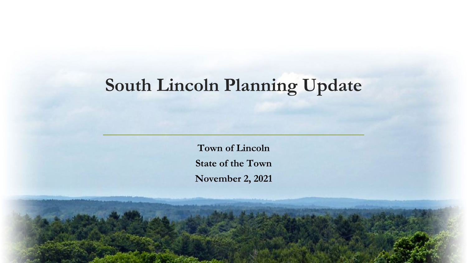## **South Lincoln Planning Update**

**Town of Lincoln State of the Town November 2, 2021**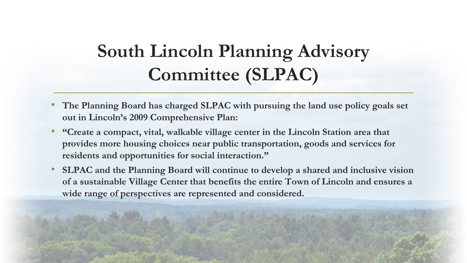## **South Lincoln Planning Advisory Committee (SLPAC)**

- **The Planning Board has charged SLPAC with pursuing the land use policy goals set out in Lincoln's 2009 Comprehensive Plan:**
- **"Create a compact, vital, walkable village center in the Lincoln Station area that provides more housing choices near public transportation, goods and services for residents and opportunities for social interaction."**
- **SLPAC and the Planning Board will continue to develop a shared and inclusive vision of a sustainable Village Center that benefits the entire Town of Lincoln and ensures a wide range of perspectives are represented and considered.**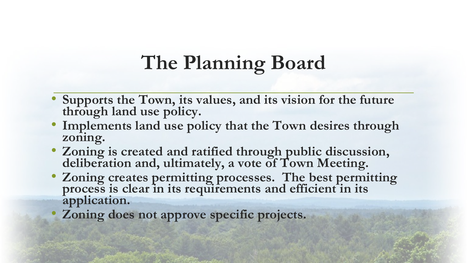# **The Planning Board**

- **Supports the Town, its values, and its vision for the future through land use policy.**
- **Implements land use policy that the Town desires through zoning.**
- **Zoning is created and ratified through public discussion, deliberation and, ultimately, a vote of Town Meeting.**
- **Zoning creates permitting processes. The best permitting process is clear in its requirements and efficient in its application.**
- **Zoning does not approve specific projects.**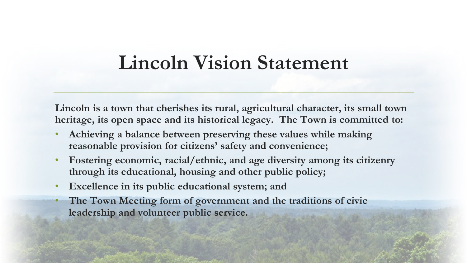## **Lincoln Vision Statement**

**Lincoln is a town that cherishes its rural, agricultural character, its small town heritage, its open space and its historical legacy. The Town is committed to:**

- **Achieving a balance between preserving these values while making reasonable provision for citizens' safety and convenience;**
- **Fostering economic, racial/ethnic, and age diversity among its citizenry through its educational, housing and other public policy;**
- **Excellence in its public educational system; and**
- **The Town Meeting form of government and the traditions of civic leadership and volunteer public service.**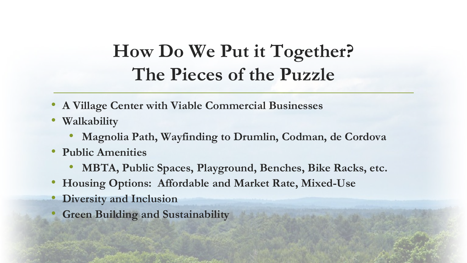## **How Do We Put it Together? The Pieces of the Puzzle**

- **A Village Center with Viable Commercial Businesses**
- **Walkability**
	- **Magnolia Path, Wayfinding to Drumlin, Codman, de Cordova**
- **Public Amenities**
	- **MBTA, Public Spaces, Playground, Benches, Bike Racks, etc.**
- **Housing Options: Affordable and Market Rate, Mixed-Use**
- **Diversity and Inclusion**
- **Green Building and Sustainability**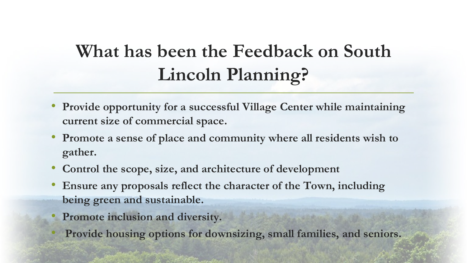## **What has been the Feedback on South Lincoln Planning?**

- **Provide opportunity for a successful Village Center while maintaining current size of commercial space.**
- **Promote a sense of place and community where all residents wish to gather.**
- **Control the scope, size, and architecture of development**
- **Ensure any proposals reflect the character of the Town, including being green and sustainable.**
- **Promote inclusion and diversity.**
- **Provide housing options for downsizing, small families, and seniors.**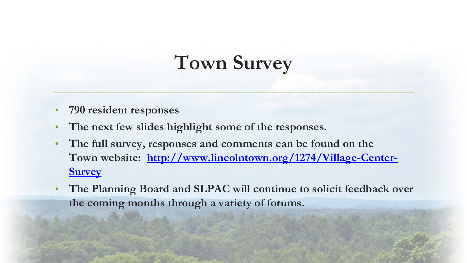# **Town Survey**

- **790 resident responses**
- The next few slides highlight some of the responses.
- **The full survey, responses and comments can be found on the [Town website: http://www.lincolntown.org/1274/Village-Center-](http://www.lincolntown.org/1274/Village-Center-Survey)Survey**
- **The Planning Board and SLPAC will continue to solicit feedback over the coming months through a variety of forums.**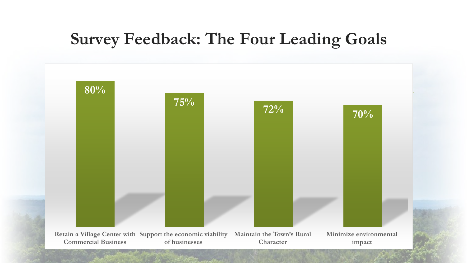### **Survey Feedback: The Four Leading Goals**

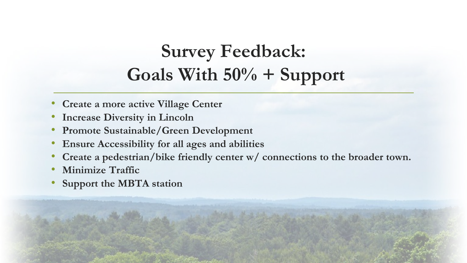# **Survey Feedback: Goals With 50% + Support**

- **Create a more active Village Center**
- **Increase Diversity in Lincoln**
- **Promote Sustainable/Green Development**
- **Ensure Accessibility for all ages and abilities**
- **Create a pedestrian/bike friendly center w/ connections to the broader town.**
- **Minimize Traffic**
- **Support the MBTA station**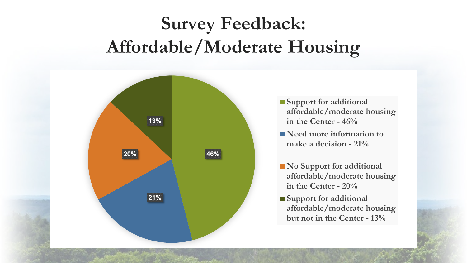# **Survey Feedback: Affordable/Moderate Housing**

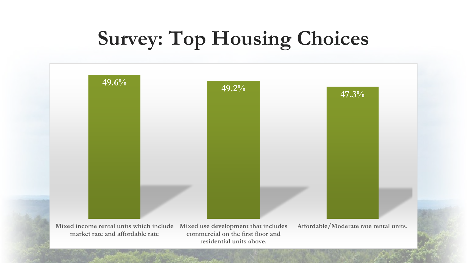# **Survey: Top Housing Choices**



**Mixed income rental units which include market rate and affordable rate**

**Mixed use development that includes commercial on the first floor and residential units above.**

**Affordable/Moderate rate rental units.**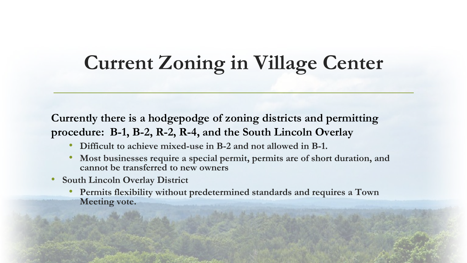# **Current Zoning in Village Center**

**Currently there is a hodgepodge of zoning districts and permitting procedure: B-1, B-2, R-2, R-4, and the South Lincoln Overlay** 

- **Difficult to achieve mixed-use in B-2 and not allowed in B-1.**
- **Most businesses require a special permit, permits are of short duration, and cannot be transferred to new owners**
- **South Lincoln Overlay District**
	- **Permits flexibility without predetermined standards and requires a Town Meeting vote.**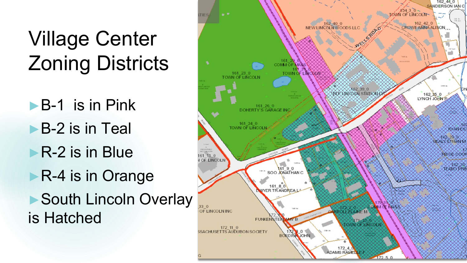# Village Center Zoning Districts

►B-1 is in Pink ►B-2 is in Teal ■R-2 is in Blue ►R-4 is in Orange ▶ South Lincoln Overlay is Hatched

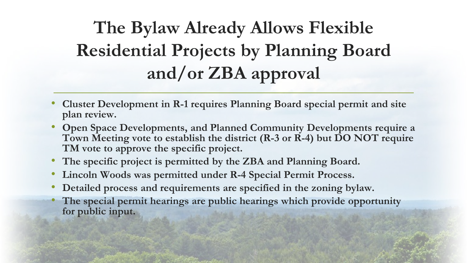# **The Bylaw Already Allows Flexible Residential Projects by Planning Board and/or ZBA approval**

- **Cluster Development in R-1 requires Planning Board special permit and site plan review.**
- **Open Space Developments, and Planned Community Developments require a Town Meeting vote to establish the district (R-3 or R-4) but DO NOT require TM vote to approve the specific project.**
- **The specific project is permitted by the ZBA and Planning Board.**
- **Lincoln Woods was permitted under R-4 Special Permit Process.**
- **Detailed process and requirements are specified in the zoning bylaw.**
- **The special permit hearings are public hearings which provide opportunity for public input.**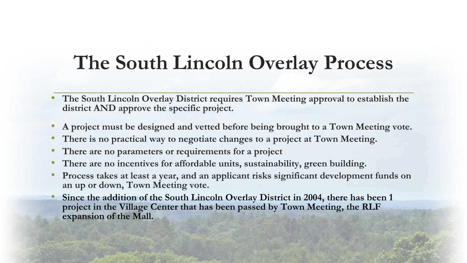## **The South Lincoln Overlay Process**

- **The South Lincoln Overlay District requires Town Meeting approval to establish the district AND approve the specific project.**
- **A project must be designed and vetted before being brought to a Town Meeting vote.**
- **There is no practical way to negotiate changes to a project at Town Meeting.**
- **There are no parameters or requirements for a project**
- **There are no incentives for affordable units, sustainability, green building.**
- **Process takes at least a year, and an applicant risks significant development funds on an up or down, Town Meeting vote.**
- **Since the addition of the South Lincoln Overlay District in 2004, there has been 1 project in the Village Center that has been passed by Town Meeting, the RLF expansion of the Mall.**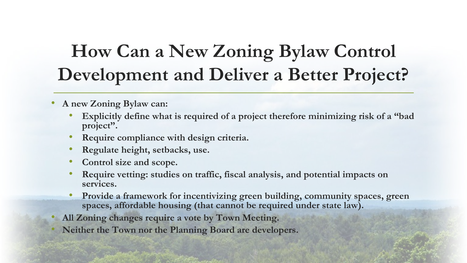## **How Can a New Zoning Bylaw Control Development and Deliver a Better Project?**

#### • **A new Zoning Bylaw can:**

- **Explicitly define what is required of a project therefore minimizing risk of a "bad project".**
- **Require compliance with design criteria.**
- **Regulate height, setbacks, use.**
- **Control size and scope.**
- **Require vetting: studies on traffic, fiscal analysis, and potential impacts on services.**
- **Provide a framework for incentivizing green building, community spaces, green spaces, affordable housing (that cannot be required under state law).**
- **All Zoning changes require a vote by Town Meeting.**
- **Neither the Town nor the Planning Board are developers.**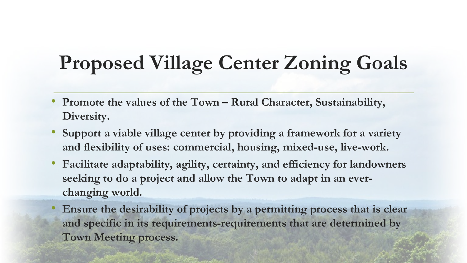# **Proposed Village Center Zoning Goals**

- **Promote the values of the Town – Rural Character, Sustainability, Diversity.**
- **Support a viable village center by providing a framework for a variety and flexibility of uses: commercial, housing, mixed-use, live-work.**
- **Facilitate adaptability, agility, certainty, and efficiency for landowners seeking to do a project and allow the Town to adapt in an everchanging world.**
- **Ensure the desirability of projects by a permitting process that is clear and specific in its requirements-requirements that are determined by Town Meeting process.**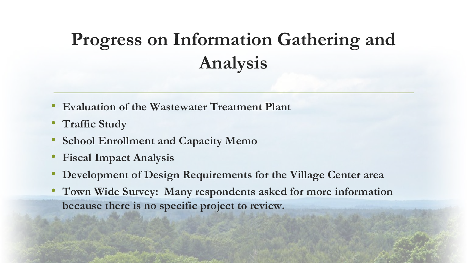# **Progress on Information Gathering and Analysis**

- **Evaluation of the Wastewater Treatment Plant**
- **Traffic Study**
- **School Enrollment and Capacity Memo**
- **Fiscal Impact Analysis**
- **Development of Design Requirements for the Village Center area**
- **Town Wide Survey: Many respondents asked for more information because there is no specific project to review.**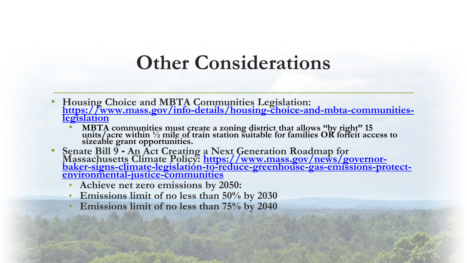## **Other Considerations**

- **Housing Choice and MBTA Communities Legislation: [https://www.mass.gov/info-details/housing-choice-and-mbta-communities-](https://www.mass.gov/info-details/housing-choice-and-mbta-communities-legislation) legislation**
	- **MBTA communities must create a zoning district that allows "by right" 15 units/acre within ½ mile of train station suitable for families OR forfeit access to sizeable grant opportunities.**
- Senate Bill 9 An Act Creating a Next Generation Roadmap for<br>Massachusetts Climate Policy: https://www.mass.gov/news/governor-<br>[baker-signs-climate-legislation-to-reduce-greenhouse-gas-emissions-protect-](https://www.mass.gov/news/governor-baker-signs-climate-legislation-to-reduce-greenhouse-gas-emissions-protect-environmental-justice-communities)<br>environmental-ju
	- **Achieve net zero emissions by 2050:**
	- **Emissions limit of no less than 50% by 2030**
	- **Emissions limit of no less than 75% by 2040**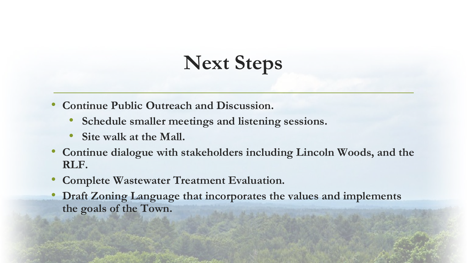# **Next Steps**

- **Continue Public Outreach and Discussion.**
	- **Schedule smaller meetings and listening sessions.**
	- Site walk at the Mall.
- **Continue dialogue with stakeholders including Lincoln Woods, and the RLF.**
- **Complete Wastewater Treatment Evaluation.**
- **Draft Zoning Language that incorporates the values and implements the goals of the Town.**